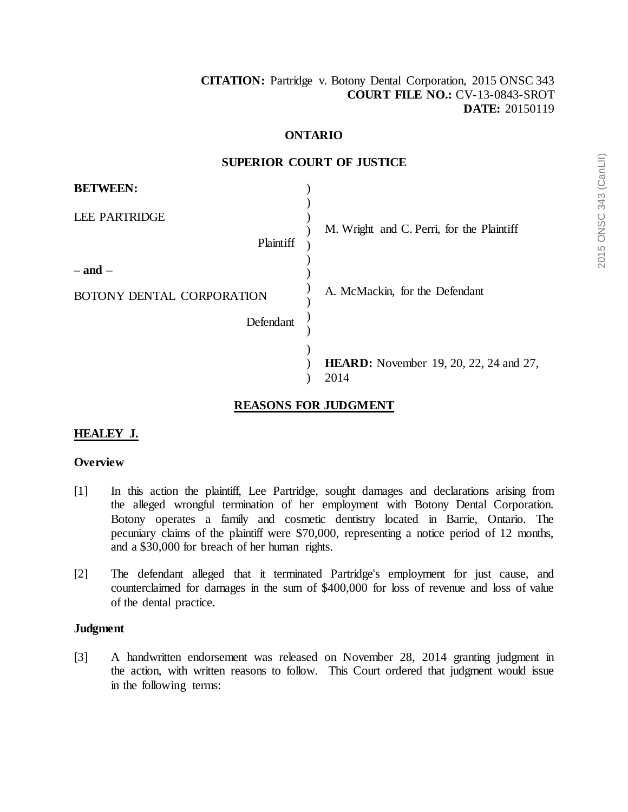# **ONTARIO**

#### **SUPERIOR COURT OF JUSTICE**

| <b>BETWEEN:</b>                   |                                               |
|-----------------------------------|-----------------------------------------------|
| <b>LEE PARTRIDGE</b><br>Plaintiff | M. Wright and C. Perri, for the Plaintiff     |
| $-$ and $-$                       |                                               |
| BOTONY DENTAL CORPORATION         | A. McMackin, for the Defendant                |
| Defendant                         |                                               |
|                                   | <b>HEARD:</b> November 19, 20, 22, 24 and 27, |
|                                   | 2014                                          |

# **REASONS FOR JUDGMENT**

# **HEALEY J.**

### **Overview**

- [1] In this action the plaintiff, Lee Partridge, sought damages and declarations arising from the alleged wrongful termination of her employment with Botony Dental Corporation. Botony operates a family and cosmetic dentistry located in Barrie, Ontario. The pecuniary claims of the plaintiff were \$70,000, representing a notice period of 12 months, and a \$30,000 for breach of her human rights.
- [2] The defendant alleged that it terminated Partridge's employment for just cause, and counterclaimed for damages in the sum of \$400,000 for loss of revenue and loss of value of the dental practice.

#### **Judgment**

[3] A handwritten endorsement was released on November 28, 2014 granting judgment in the action, with written reasons to follow. This Court ordered that judgment would issue in the following terms: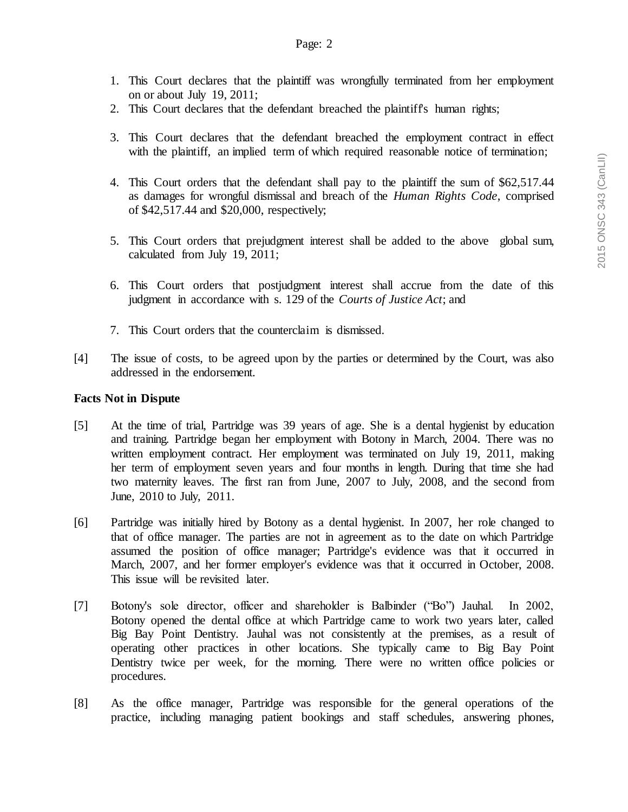- 1. This Court declares that the plaintiff was wrongfully terminated from her employment on or about July 19, 2011;
- 2. This Court declares that the defendant breached the plaintiff's human rights;
- 3. This Court declares that the defendant breached the employment contract in effect with the plaintiff, an implied term of which required reasonable notice of termination;
- 4. This Court orders that the defendant shall pay to the plaintiff the sum of \$62,517.44 as damages for wrongful dismissal and breach of the *Human Rights Code*, comprised of \$42,517.44 and \$20,000, respectively;
- 5. This Court orders that prejudgment interest shall be added to the above global sum, calculated from July 19, 2011;
- 6. This Court orders that postjudgment interest shall accrue from the date of this judgment in accordance with s. 129 of the *Courts of Justice Act*; and
- 7. This Court orders that the counterclaim is dismissed.
- [4] The issue of costs, to be agreed upon by the parties or determined by the Court, was also addressed in the endorsement.

### **Facts Not in Dispute**

- [5] At the time of trial, Partridge was 39 years of age. She is a dental hygienist by education and training. Partridge began her employment with Botony in March, 2004. There was no written employment contract. Her employment was terminated on July 19, 2011, making her term of employment seven years and four months in length. During that time she had two maternity leaves. The first ran from June, 2007 to July, 2008, and the second from June, 2010 to July, 2011.
- [6] Partridge was initially hired by Botony as a dental hygienist. In 2007, her role changed to that of office manager. The parties are not in agreement as to the date on which Partridge assumed the position of office manager; Partridge's evidence was that it occurred in March, 2007, and her former employer's evidence was that it occurred in October, 2008. This issue will be revisited later.
- [7] Botony's sole director, officer and shareholder is Balbinder ("Bo") Jauhal. In 2002, Botony opened the dental office at which Partridge came to work two years later, called Big Bay Point Dentistry. Jauhal was not consistently at the premises, as a result of operating other practices in other locations. She typically came to Big Bay Point Dentistry twice per week, for the morning. There were no written office policies or procedures.
- [8] As the office manager, Partridge was responsible for the general operations of the practice, including managing patient bookings and staff schedules, answering phones,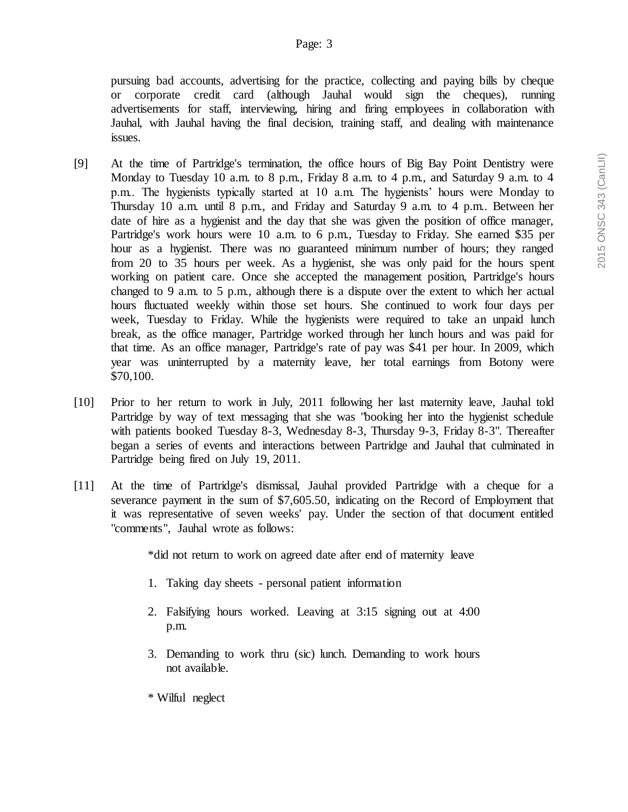pursuing bad accounts, advertising for the practice, collecting and paying bills by cheque or corporate credit card (although Jauhal would sign the cheques), running advertisements for staff, interviewing, hiring and firing employees in collaboration with Jauhal, with Jauhal having the final decision, training staff, and dealing with maintenance issues.

- [9] At the time of Partridge's termination, the office hours of Big Bay Point Dentistry were Monday to Tuesday 10 a.m. to 8 p.m., Friday 8 a.m. to 4 p.m., and Saturday 9 a.m. to 4 p.m.. The hygienists typically started at 10 a.m. The hygienists' hours were Monday to Thursday 10 a.m. until 8 p.m., and Friday and Saturday 9 a.m. to 4 p.m.. Between her date of hire as a hygienist and the day that she was given the position of office manager, Partridge's work hours were 10 a.m. to 6 p.m., Tuesday to Friday. She earned \$35 per hour as a hygienist. There was no guaranteed minimum number of hours; they ranged from 20 to 35 hours per week. As a hygienist, she was only paid for the hours spent working on patient care. Once she accepted the management position, Partridge's hours changed to 9 a.m. to 5 p.m., although there is a dispute over the extent to which her actual hours fluctuated weekly within those set hours. She continued to work four days per week, Tuesday to Friday. While the hygienists were required to take an unpaid lunch break, as the office manager, Partridge worked through her lunch hours and was paid for that time. As an office manager, Partridge's rate of pay was \$41 per hour. In 2009, which year was uninterrupted by a maternity leave, her total earnings from Botony were \$70,100.
- [10] Prior to her return to work in July, 2011 following her last maternity leave, Jauhal told Partridge by way of text messaging that she was "booking her into the hygienist schedule with patients booked Tuesday 8-3, Wednesday 8-3, Thursday 9-3, Friday 8-3". Thereafter began a series of events and interactions between Partridge and Jauhal that culminated in Partridge being fired on July 19, 2011.
- [11] At the time of Partridge's dismissal, Jauhal provided Partridge with a cheque for a severance payment in the sum of \$7,605.50, indicating on the Record of Employment that it was representative of seven weeks' pay. Under the section of that document entitled "comments", Jauhal wrote as follows:

\*did not return to work on agreed date after end of maternity leave

- 1. Taking day sheets personal patient information
- 2. Falsifying hours worked. Leaving at 3:15 signing out at 4:00 p.m.
- 3. Demanding to work thru (sic) lunch. Demanding to work hours not available.
- \* Wilful neglect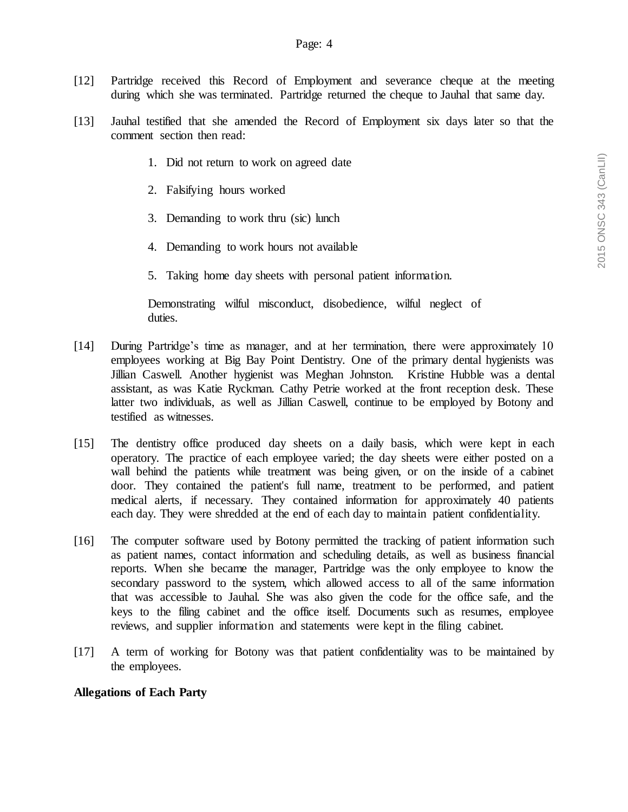- [12] Partridge received this Record of Employment and severance cheque at the meeting during which she was terminated. Partridge returned the cheque to Jauhal that same day.
- [13] Jauhal testified that she amended the Record of Employment six days later so that the comment section then read:
	- 1. Did not return to work on agreed date
	- 2. Falsifying hours worked
	- 3. Demanding to work thru (sic) lunch
	- 4. Demanding to work hours not available
	- 5. Taking home day sheets with personal patient information.

Demonstrating wilful misconduct, disobedience, wilful neglect of duties.

- [14] During Partridge's time as manager, and at her termination, there were approximately 10 employees working at Big Bay Point Dentistry. One of the primary dental hygienists was Jillian Caswell. Another hygienist was Meghan Johnston. Kristine Hubble was a dental assistant, as was Katie Ryckman. Cathy Petrie worked at the front reception desk. These latter two individuals, as well as Jillian Caswell, continue to be employed by Botony and testified as witnesses.
- [15] The dentistry office produced day sheets on a daily basis, which were kept in each operatory. The practice of each employee varied; the day sheets were either posted on a wall behind the patients while treatment was being given, or on the inside of a cabinet door. They contained the patient's full name, treatment to be performed, and patient medical alerts, if necessary. They contained information for approximately 40 patients each day. They were shredded at the end of each day to maintain patient confidentiality.
- [16] The computer software used by Botony permitted the tracking of patient information such as patient names, contact information and scheduling details, as well as business financial reports. When she became the manager, Partridge was the only employee to know the secondary password to the system, which allowed access to all of the same information that was accessible to Jauhal. She was also given the code for the office safe, and the keys to the filing cabinet and the office itself. Documents such as resumes, employee reviews, and supplier information and statements were kept in the filing cabinet.
- [17] A term of working for Botony was that patient confidentiality was to be maintained by the employees.

#### **Allegations of Each Party**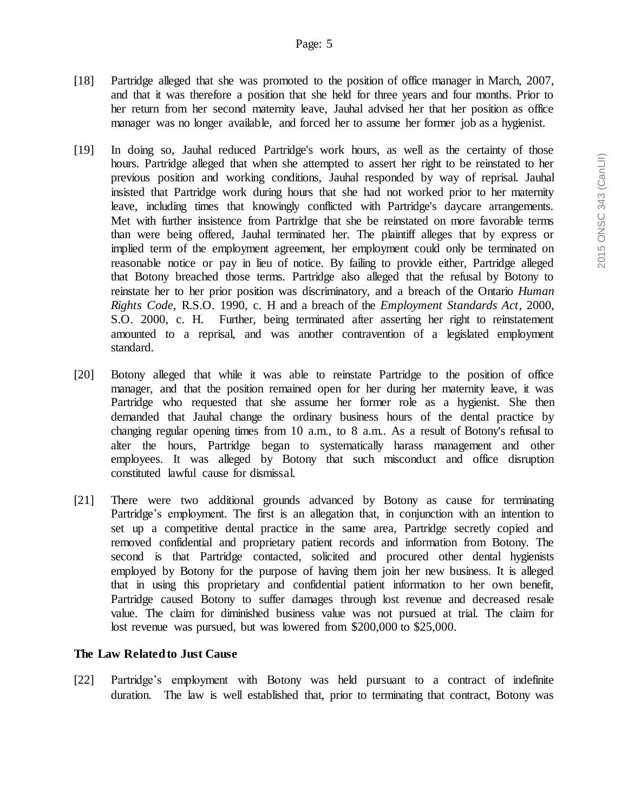- [18] Partridge alleged that she was promoted to the position of office manager in March, 2007, and that it was therefore a position that she held for three years and four months. Prior to her return from her second maternity leave, Jauhal advised her that her position as office manager was no longer available, and forced her to assume her former job as a hygienist.
- [19] In doing so, Jauhal reduced Partridge's work hours, as well as the certainty of those hours. Partridge alleged that when she attempted to assert her right to be reinstated to her previous position and working conditions, Jauhal responded by way of reprisal. Jauhal insisted that Partridge work during hours that she had not worked prior to her maternity leave, including times that knowingly conflicted with Partridge's daycare arrangements. Met with further insistence from Partridge that she be reinstated on more favorable terms than were being offered, Jauhal terminated her. The plaintiff alleges that by express or implied term of the employment agreement, her employment could only be terminated on reasonable notice or pay in lieu of notice. By failing to provide either, Partridge alleged that Botony breached those terms. Partridge also alleged that the refusal by Botony to reinstate her to her prior position was discriminatory, and a breach of the Ontario *Human Rights Code*, R.S.O. 1990, c. H and a breach of the *Employment Standards Act*, 2000, S.O. 2000, c. H. Further, being terminated after asserting her right to reinstatement amounted to a reprisal, and was another contravention of a legislated employment standard.
- [20] Botony alleged that while it was able to reinstate Partridge to the position of office manager, and that the position remained open for her during her maternity leave, it was Partridge who requested that she assume her former role as a hygienist. She then demanded that Jauhal change the ordinary business hours of the dental practice by changing regular opening times from 10 a.m., to 8 a.m.. As a result of Botony's refusal to alter the hours, Partridge began to systematically harass management and other employees. It was alleged by Botony that such misconduct and office disruption constituted lawful cause for dismissal.
- [21] There were two additional grounds advanced by Botony as cause for terminating Partridge's employment. The first is an allegation that, in conjunction with an intention to set up a competitive dental practice in the same area, Partridge secretly copied and removed confidential and proprietary patient records and information from Botony. The second is that Partridge contacted, solicited and procured other dental hygienists employed by Botony for the purpose of having them join her new business. It is alleged that in using this proprietary and confidential patient information to her own benefit, Partridge caused Botony to suffer damages through lost revenue and decreased resale value. The claim for diminished business value was not pursued at trial. The claim for lost revenue was pursued, but was lowered from \$200,000 to \$25,000.

### **The Law Related to Just Cause**

[22] Partridge's employment with Botony was held pursuant to a contract of indefinite duration. The law is well established that, prior to terminating that contract, Botony was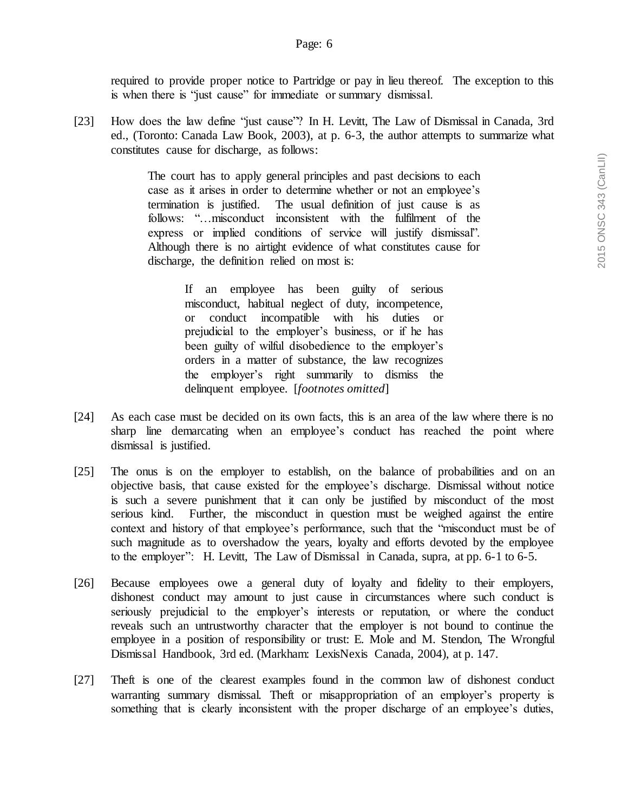required to provide proper notice to Partridge or pay in lieu thereof. The exception to this is when there is "just cause" for immediate or summary dismissal.

[23] How does the law define "just cause"? In H. Levitt, The Law of Dismissal in Canada, 3rd ed., (Toronto: Canada Law Book, 2003), at p. 6-3, the author attempts to summarize what constitutes cause for discharge, as follows:

> The court has to apply general principles and past decisions to each case as it arises in order to determine whether or not an employee's termination is justified. The usual definition of just cause is as follows: "…misconduct inconsistent with the fulfilment of the express or implied conditions of service will justify dismissal". Although there is no airtight evidence of what constitutes cause for discharge, the definition relied on most is:

> > If an employee has been guilty of serious misconduct, habitual neglect of duty, incompetence, or conduct incompatible with his duties or prejudicial to the employer's business, or if he has been guilty of wilful disobedience to the employer's orders in a matter of substance, the law recognizes the employer's right summarily to dismiss the delinquent employee. [*footnotes omitted*]

- [24] As each case must be decided on its own facts, this is an area of the law where there is no sharp line demarcating when an employee's conduct has reached the point where dismissal is justified.
- [25] The onus is on the employer to establish, on the balance of probabilities and on an objective basis, that cause existed for the employee's discharge. Dismissal without notice is such a severe punishment that it can only be justified by misconduct of the most serious kind. Further, the misconduct in question must be weighed against the entire context and history of that employee's performance, such that the "misconduct must be of such magnitude as to overshadow the years, loyalty and efforts devoted by the employee to the employer": H. Levitt, The Law of Dismissal in Canada, supra, at pp. 6-1 to 6-5.
- [26] Because employees owe a general duty of loyalty and fidelity to their employers, dishonest conduct may amount to just cause in circumstances where such conduct is seriously prejudicial to the employer's interests or reputation, or where the conduct reveals such an untrustworthy character that the employer is not bound to continue the employee in a position of responsibility or trust: E. Mole and M. Stendon, The Wrongful Dismissal Handbook, 3rd ed. (Markham: LexisNexis Canada, 2004), at p. 147.
- [27] Theft is one of the clearest examples found in the common law of dishonest conduct warranting summary dismissal. Theft or misappropriation of an employer's property is something that is clearly inconsistent with the proper discharge of an employee's duties,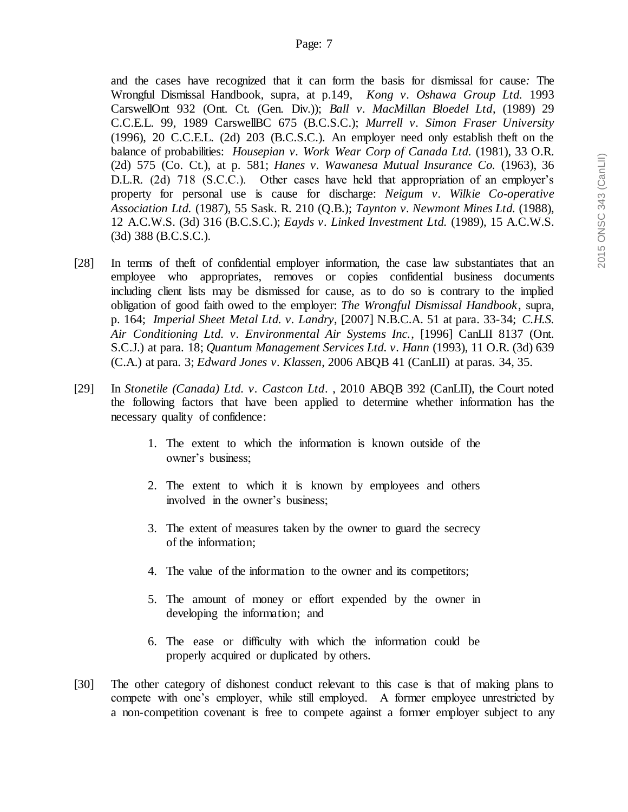and the cases have recognized that it can form the basis for dismissal for cause*:* The Wrongful Dismissal Handbook, supra*,* at p.149, *Kong v. Oshawa Group Ltd.* 1993 CarswellOnt 932 (Ont. Ct. (Gen. Div.)); *Ball v. MacMillan Bloedel Ltd*, (1989) 29 C.C.E.L. 99, 1989 CarswellBC 675 (B.C.S.C.); *Murrell v. Simon Fraser University* (1996), 20 C.C.E.L. (2d) 203 (B.C.S.C.). An employer need only establish theft on the balance of probabilities: *Housepian v. Work Wear Corp of Canada Ltd.* (1981), 33 O.R. (2d) 575 (Co. Ct.), at p. 581; *Hanes v. Wawanesa Mutual Insurance Co.* (1963), 36 D.L.R. (2d) 718 (S.C.C.). Other cases have held that appropriation of an employer's property for personal use is cause for discharge: *Neigum v. Wilkie Co-operative Association Ltd.* (1987), 55 Sask. R. 210 (Q.B.); *Taynton v. Newmont Mines Ltd.* (1988), 12 A.C.W.S. (3d) 316 (B.C.S.C.); *Eayds v. Linked Investment Ltd.* (1989), 15 A.C.W.S. (3d) 388 (B.C.S.C.).

- [28] In terms of theft of confidential employer information, the case law substantiates that an employee who appropriates, removes or copies confidential business documents including client lists may be dismissed for cause, as to do so is contrary to the implied obligation of good faith owed to the employer: *The Wrongful Dismissal Handbook*, supra, p. 164; *Imperial Sheet Metal Ltd. v. Landry*, [2007] N.B.C.A. 51 at para. 33-34; *C.H.S. Air Conditioning Ltd. v. Environmental Air Systems Inc.*, [1996] CanLII 8137 (Ont. S.C.J.) at para. 18; *Quantum Management Services Ltd. v. Hann* (1993), 11 O.R. (3d) 639 (C.A.) at para. 3; *Edward Jones v. Klassen*, 2006 ABQB 41 (CanLII) at paras. 34, 35.
- [29] In *Stonetile (Canada) Ltd. v. Castcon Ltd*. , 2010 ABQB 392 (CanLII), the Court noted the following factors that have been applied to determine whether information has the necessary quality of confidence:
	- 1. The extent to which the information is known outside of the owner's business;
	- 2. The extent to which it is known by employees and others involved in the owner's business;
	- 3. The extent of measures taken by the owner to guard the secrecy of the information;
	- 4. The value of the information to the owner and its competitors;
	- 5. The amount of money or effort expended by the owner in developing the information; and
	- 6. The ease or difficulty with which the information could be properly acquired or duplicated by others.
- [30] The other category of dishonest conduct relevant to this case is that of making plans to compete with one's employer, while still employed. A former employee unrestricted by a non-competition covenant is free to compete against a former employer subject to any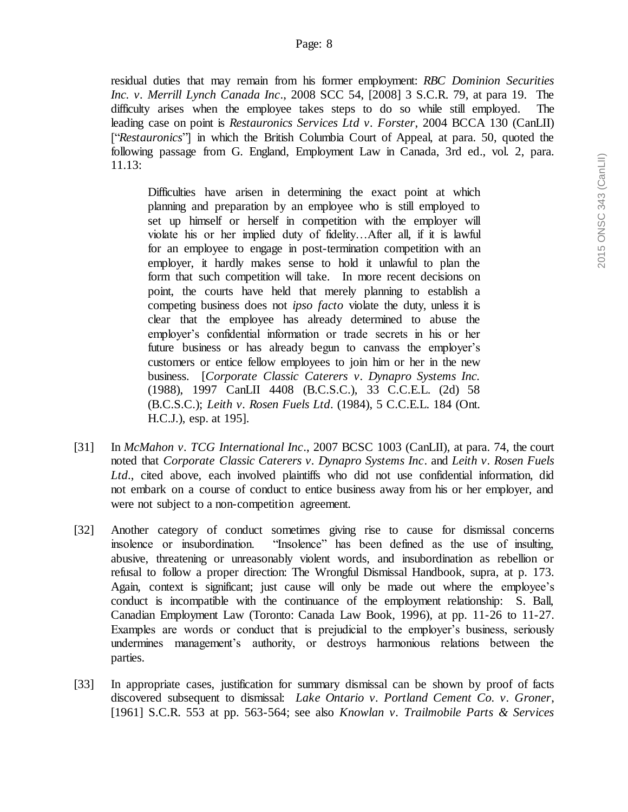residual duties that may remain from his former employment: *RBC Dominion Securities Inc. v. Merrill Lynch Canada Inc*., 2008 SCC 54, [2008] 3 S.C.R. 79, at para 19. The difficulty arises when the employee takes steps to do so while still employed. The leading case on point is *Restauronics Services Ltd v. Forster*, 2004 BCCA 130 (CanLII) ["*Restauronics*"] in which the British Columbia Court of Appeal, at para. 50, quoted the following passage from G. England, Employment Law in Canada, 3rd ed., vol. 2, para. 11.13:

Difficulties have arisen in determining the exact point at which planning and preparation by an employee who is still employed to set up himself or herself in competition with the employer will violate his or her implied duty of fidelity…After all, if it is lawful for an employee to engage in post-termination competition with an employer, it hardly makes sense to hold it unlawful to plan the form that such competition will take. In more recent decisions on point, the courts have held that merely planning to establish a competing business does not *ipso facto* violate the duty, unless it is clear that the employee has already determined to abuse the employer's confidential information or trade secrets in his or her future business or has already begun to canvass the employer's customers or entice fellow employees to join him or her in the new business. [*Corporate Classic Caterers v. Dynapro Systems Inc.* (1988), 1997 CanLII 4408 (B.C.S.C.), 33 C.C.E.L. (2d) 58 (B.C.S.C.); *Leith v. Rosen Fuels Ltd*. (1984), 5 C.C.E.L. 184 (Ont. H.C.J.), esp. at 195].

- [31] In *McMahon v. TCG International Inc*., 2007 BCSC 1003 (CanLII), at para. 74, the court noted that *Corporate Classic Caterers v. Dynapro Systems Inc*. and *Leith v. Rosen Fuels Ltd*., cited above, each involved plaintiffs who did not use confidential information, did not embark on a course of conduct to entice business away from his or her employer, and were not subject to a non-competition agreement.
- [32] Another category of conduct sometimes giving rise to cause for dismissal concerns insolence or insubordination. "Insolence" has been defined as the use of insulting, abusive, threatening or unreasonably violent words, and insubordination as rebellion or refusal to follow a proper direction: The Wrongful Dismissal Handbook, supra, at p. 173. Again, context is significant; just cause will only be made out where the employee's conduct is incompatible with the continuance of the employment relationship: S. Ball, Canadian Employment Law (Toronto: Canada Law Book, 1996), at pp. 11-26 to 11-27. Examples are words or conduct that is prejudicial to the employer's business, seriously undermines management's authority, or destroys harmonious relations between the parties.
- [33] In appropriate cases, justification for summary dismissal can be shown by proof of facts discovered subsequent to dismissal: *Lake Ontario v. Portland Cement Co. v. Groner*, [1961] S.C.R. 553 at pp. 563-564; see also *Knowlan v. Trailmobile Parts & Services*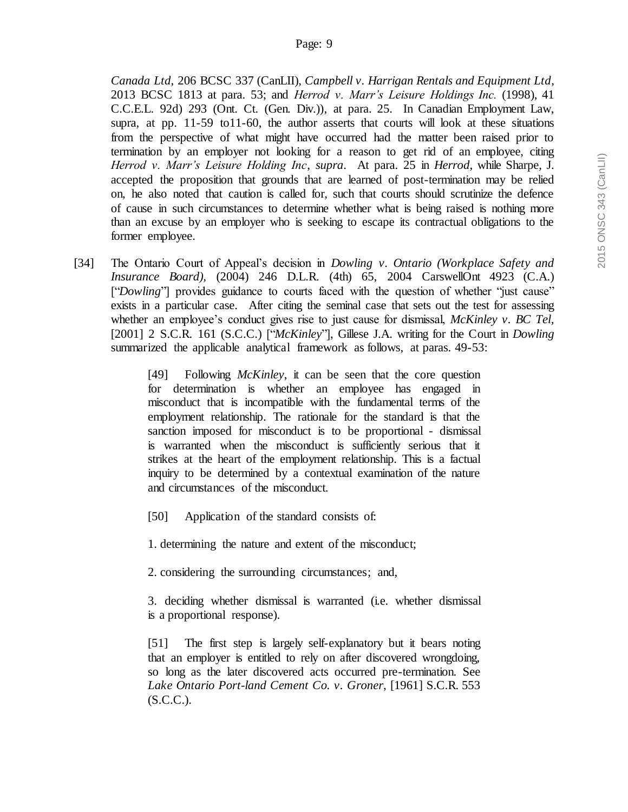*Canada Ltd*, 206 BCSC 337 (CanLII), *Campbell v. Harrigan Rentals and Equipment Ltd*, 2013 BCSC 1813 at para. 53; and *Herrod v. Marr's Leisure Holdings Inc.* (1998), 41 C.C.E.L. 92d) 293 (Ont. Ct. (Gen. Div.)), at para. 25. In Canadian Employment Law, supra, at pp. 11-59 to11-60, the author asserts that courts will look at these situations from the perspective of what might have occurred had the matter been raised prior to termination by an employer not looking for a reason to get rid of an employee, citing *Herrod v. Marr's Leisure Holding Inc*, *supra*. At para. 25 in *Herrod*, while Sharpe, J. accepted the proposition that grounds that are learned of post-termination may be relied on, he also noted that caution is called for, such that courts should scrutinize the defence of cause in such circumstances to determine whether what is being raised is nothing more than an excuse by an employer who is seeking to escape its contractual obligations to the former employee.

[34] The Ontario Court of Appeal's decision in *Dowling v. Ontario (Workplace Safety and Insurance Board),* (2004) 246 D.L.R. (4th) 65, 2004 CarswellOnt 4923 (C.A.) ["*Dowling*"] provides guidance to courts faced with the question of whether "just cause" exists in a particular case. After citing the seminal case that sets out the test for assessing whether an employee's conduct gives rise to just cause for dismissal, *McKinley v. BC Tel,*  [2001] 2 S.C.R. 161 (S.C.C.) ["*McKinley*"], Gillese J.A. writing for the Court in *Dowling* summarized the applicable analytical framework as follows, at paras. 49-53:

> [49] Following *McKinley*, it can be seen that the core question for determination is whether an employee has engaged in misconduct that is incompatible with the fundamental terms of the employment relationship. The rationale for the standard is that the sanction imposed for misconduct is to be proportional - dismissal is warranted when the misconduct is sufficiently serious that it strikes at the heart of the employment relationship. This is a factual inquiry to be determined by a contextual examination of the nature and circumstances of the misconduct.

- [50] Application of the standard consists of:
- 1. determining the nature and extent of the misconduct;
- 2. considering the surrounding circumstances; and,

3. deciding whether dismissal is warranted (i.e. whether dismissal is a proportional response).

[51] The first step is largely self-explanatory but it bears noting that an employer is entitled to rely on after discovered wrongdoing, so long as the later discovered acts occurred pre-termination. See *Lake Ontario Port-land Cement Co. v. Groner*, [1961] S.C.R. 553 (S.C.C.).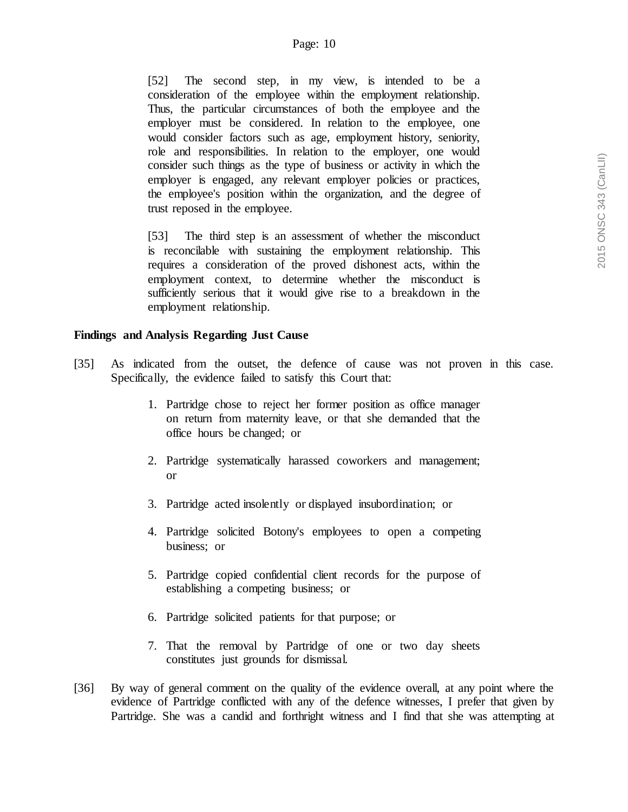[52] The second step, in my view, is intended to be a consideration of the employee within the employment relationship. Thus, the particular circumstances of both the employee and the employer must be considered. In relation to the employee, one would consider factors such as age, employment history, seniority, role and responsibilities. In relation to the employer, one would consider such things as the type of business or activity in which the employer is engaged, any relevant employer policies or practices, the employee's position within the organization, and the degree of trust reposed in the employee.

[53] The third step is an assessment of whether the misconduct is reconcilable with sustaining the employment relationship. This requires a consideration of the proved dishonest acts, within the employment context, to determine whether the misconduct is sufficiently serious that it would give rise to a breakdown in the employment relationship.

# **Findings and Analysis Regarding Just Cause**

- [35] As indicated from the outset, the defence of cause was not proven in this case. Specifically, the evidence failed to satisfy this Court that:
	- 1. Partridge chose to reject her former position as office manager on return from maternity leave, or that she demanded that the office hours be changed; or
	- 2. Partridge systematically harassed coworkers and management; or
	- 3. Partridge acted insolently or displayed insubordination; or
	- 4. Partridge solicited Botony's employees to open a competing business; or
	- 5. Partridge copied confidential client records for the purpose of establishing a competing business; or
	- 6. Partridge solicited patients for that purpose; or
	- 7. That the removal by Partridge of one or two day sheets constitutes just grounds for dismissal.
- [36] By way of general comment on the quality of the evidence overall, at any point where the evidence of Partridge conflicted with any of the defence witnesses, I prefer that given by Partridge. She was a candid and forthright witness and I find that she was attempting at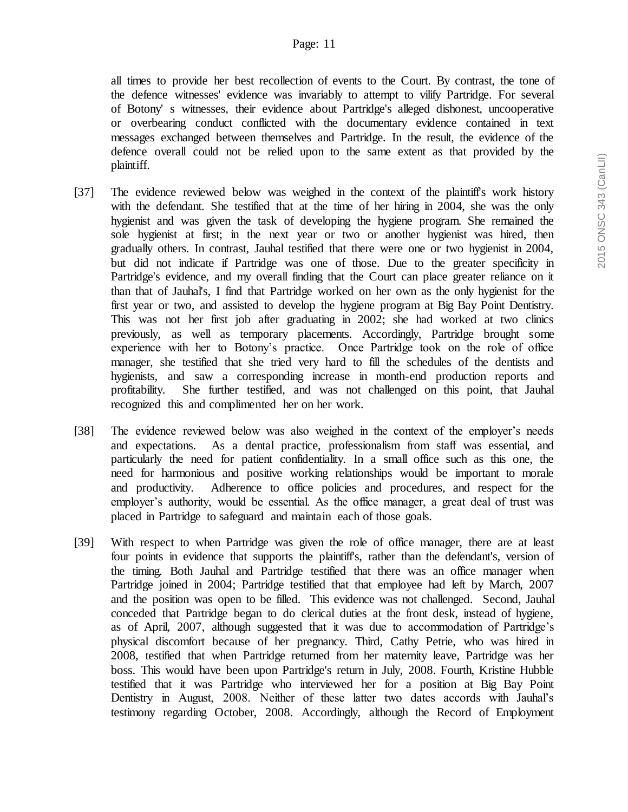#### Page: 11

all times to provide her best recollection of events to the Court. By contrast, the tone of the defence witnesses' evidence was invariably to attempt to vilify Partridge. For several of Botony' s witnesses, their evidence about Partridge's alleged dishonest, uncooperative or overbearing conduct conflicted with the documentary evidence contained in text messages exchanged between themselves and Partridge. In the result, the evidence of the defence overall could not be relied upon to the same extent as that provided by the plaintiff.

- [37] The evidence reviewed below was weighed in the context of the plaintiff's work history with the defendant. She testified that at the time of her hiring in 2004, she was the only hygienist and was given the task of developing the hygiene program. She remained the sole hygienist at first; in the next year or two or another hygienist was hired, then gradually others. In contrast, Jauhal testified that there were one or two hygienist in 2004, but did not indicate if Partridge was one of those. Due to the greater specificity in Partridge's evidence, and my overall finding that the Court can place greater reliance on it than that of Jauhal's, I find that Partridge worked on her own as the only hygienist for the first year or two, and assisted to develop the hygiene program at Big Bay Point Dentistry. This was not her first job after graduating in 2002; she had worked at two clinics previously, as well as temporary placements. Accordingly, Partridge brought some experience with her to Botony's practice. Once Partridge took on the role of office manager, she testified that she tried very hard to fill the schedules of the dentists and hygienists, and saw a corresponding increase in month-end production reports and profitability. She further testified, and was not challenged on this point, that Jauhal recognized this and complimented her on her work.
- [38] The evidence reviewed below was also weighed in the context of the employer's needs and expectations. As a dental practice, professionalism from staff was essential, and particularly the need for patient confidentiality. In a small office such as this one, the need for harmonious and positive working relationships would be important to morale and productivity. Adherence to office policies and procedures, and respect for the employer's authority, would be essential. As the office manager, a great deal of trust was placed in Partridge to safeguard and maintain each of those goals.
- [39] With respect to when Partridge was given the role of office manager, there are at least four points in evidence that supports the plaintiff's, rather than the defendant's, version of the timing. Both Jauhal and Partridge testified that there was an office manager when Partridge joined in 2004; Partridge testified that that employee had left by March, 2007 and the position was open to be filled. This evidence was not challenged. Second, Jauhal conceded that Partridge began to do clerical duties at the front desk, instead of hygiene, as of April, 2007, although suggested that it was due to accommodation of Partridge's physical discomfort because of her pregnancy. Third, Cathy Petrie, who was hired in 2008, testified that when Partridge returned from her maternity leave, Partridge was her boss. This would have been upon Partridge's return in July, 2008. Fourth, Kristine Hubble testified that it was Partridge who interviewed her for a position at Big Bay Point Dentistry in August, 2008. Neither of these latter two dates accords with Jauhal's testimony regarding October, 2008. Accordingly, although the Record of Employment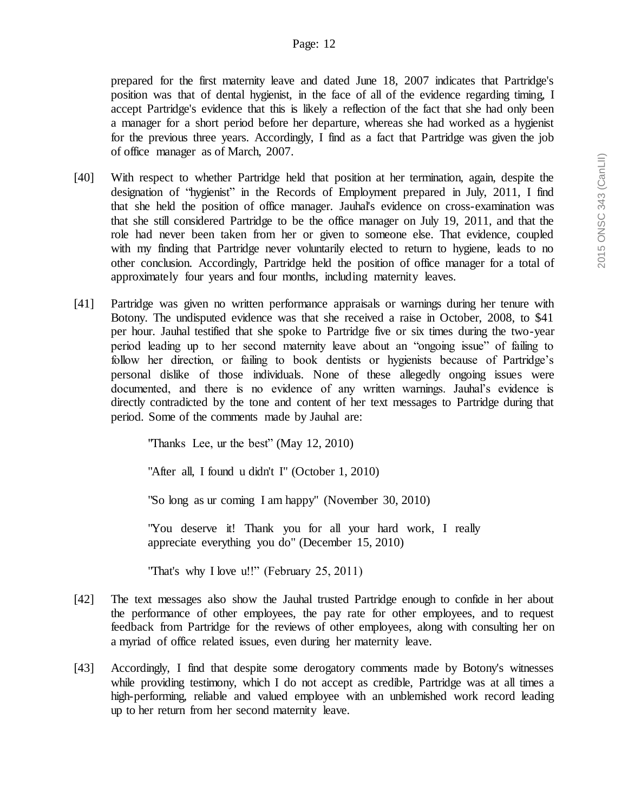#### Page: 12

prepared for the first maternity leave and dated June 18, 2007 indicates that Partridge's position was that of dental hygienist, in the face of all of the evidence regarding timing, I accept Partridge's evidence that this is likely a reflection of the fact that she had only been a manager for a short period before her departure, whereas she had worked as a hygienist for the previous three years. Accordingly, I find as a fact that Partridge was given the job of office manager as of March, 2007.

- [40] With respect to whether Partridge held that position at her termination, again, despite the designation of "hygienist" in the Records of Employment prepared in July, 2011, I find that she held the position of office manager. Jauhal's evidence on cross-examination was that she still considered Partridge to be the office manager on July 19, 2011, and that the role had never been taken from her or given to someone else. That evidence, coupled with my finding that Partridge never voluntarily elected to return to hygiene, leads to no other conclusion. Accordingly, Partridge held the position of office manager for a total of approximately four years and four months, including maternity leaves.
- [41] Partridge was given no written performance appraisals or warnings during her tenure with Botony. The undisputed evidence was that she received a raise in October, 2008, to \$41 per hour. Jauhal testified that she spoke to Partridge five or six times during the two-year period leading up to her second maternity leave about an "ongoing issue" of failing to follow her direction, or failing to book dentists or hygienists because of Partridge's personal dislike of those individuals. None of these allegedly ongoing issues were documented, and there is no evidence of any written warnings. Jauhal's evidence is directly contradicted by the tone and content of her text messages to Partridge during that period. Some of the comments made by Jauhal are:

"Thanks Lee, ur the best" (May 12, 2010)

"After all, I found u didn't I" (October 1, 2010)

"So long as ur coming I am happy" (November 30, 2010)

"You deserve it! Thank you for all your hard work, I really appreciate everything you do" (December 15, 2010)

"That's why I love u!!" (February 25, 2011)

- [42] The text messages also show the Jauhal trusted Partridge enough to confide in her about the performance of other employees, the pay rate for other employees, and to request feedback from Partridge for the reviews of other employees, along with consulting her on a myriad of office related issues, even during her maternity leave.
- [43] Accordingly, I find that despite some derogatory comments made by Botony's witnesses while providing testimony, which I do not accept as credible, Partridge was at all times a high-performing, reliable and valued employee with an unblemished work record leading up to her return from her second maternity leave.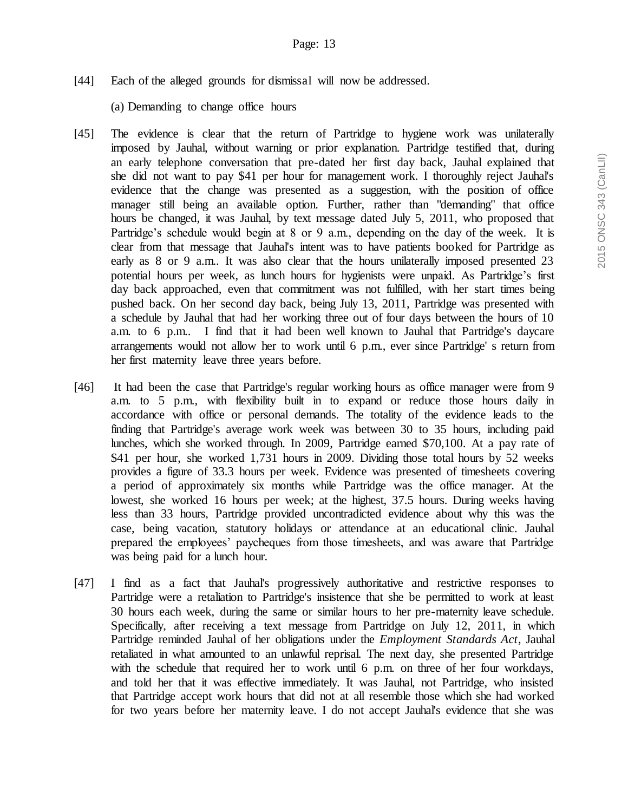[44] Each of the alleged grounds for dismissal will now be addressed.

(a) Demanding to change office hours

- [45] The evidence is clear that the return of Partridge to hygiene work was unilaterally imposed by Jauhal, without warning or prior explanation. Partridge testified that, during an early telephone conversation that pre-dated her first day back, Jauhal explained that she did not want to pay \$41 per hour for management work. I thoroughly reject Jauhal's evidence that the change was presented as a suggestion, with the position of office manager still being an available option. Further, rather than "demanding" that office hours be changed, it was Jauhal, by text message dated July 5, 2011, who proposed that Partridge's schedule would begin at 8 or 9 a.m., depending on the day of the week. It is clear from that message that Jauhal's intent was to have patients booked for Partridge as early as 8 or 9 a.m.. It was also clear that the hours unilaterally imposed presented 23 potential hours per week, as lunch hours for hygienists were unpaid. As Partridge's first day back approached, even that commitment was not fulfilled, with her start times being pushed back. On her second day back, being July 13, 2011, Partridge was presented with a schedule by Jauhal that had her working three out of four days between the hours of 10 a.m. to 6 p.m.. I find that it had been well known to Jauhal that Partridge's daycare arrangements would not allow her to work until 6 p.m., ever since Partridge' s return from her first maternity leave three years before.
- [46] It had been the case that Partridge's regular working hours as office manager were from 9 a.m. to 5 p.m., with flexibility built in to expand or reduce those hours daily in accordance with office or personal demands. The totality of the evidence leads to the finding that Partridge's average work week was between 30 to 35 hours, including paid lunches, which she worked through. In 2009, Partridge earned \$70,100. At a pay rate of \$41 per hour, she worked 1,731 hours in 2009. Dividing those total hours by 52 weeks provides a figure of 33.3 hours per week. Evidence was presented of timesheets covering a period of approximately six months while Partridge was the office manager. At the lowest, she worked 16 hours per week; at the highest, 37.5 hours. During weeks having less than 33 hours, Partridge provided uncontradicted evidence about why this was the case, being vacation, statutory holidays or attendance at an educational clinic. Jauhal prepared the employees' paycheques from those timesheets, and was aware that Partridge was being paid for a lunch hour.
- [47] I find as a fact that Jauhal's progressively authoritative and restrictive responses to Partridge were a retaliation to Partridge's insistence that she be permitted to work at least 30 hours each week, during the same or similar hours to her pre-maternity leave schedule. Specifically, after receiving a text message from Partridge on July 12, 2011, in which Partridge reminded Jauhal of her obligations under the *Employment Standards Act*, Jauhal retaliated in what amounted to an unlawful reprisal. The next day, she presented Partridge with the schedule that required her to work until 6 p.m. on three of her four workdays, and told her that it was effective immediately. It was Jauhal, not Partridge, who insisted that Partridge accept work hours that did not at all resemble those which she had worked for two years before her maternity leave. I do not accept Jauhal's evidence that she was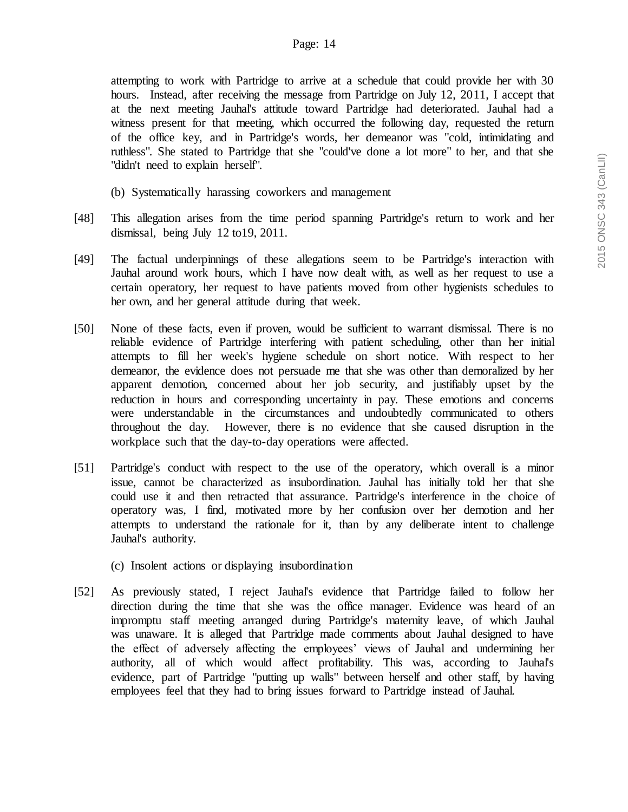attempting to work with Partridge to arrive at a schedule that could provide her with 30 hours. Instead, after receiving the message from Partridge on July 12, 2011, I accept that at the next meeting Jauhal's attitude toward Partridge had deteriorated. Jauhal had a witness present for that meeting, which occurred the following day, requested the return of the office key, and in Partridge's words, her demeanor was "cold, intimidating and ruthless". She stated to Partridge that she "could've done a lot more" to her, and that she "didn't need to explain herself".

- (b) Systematically harassing coworkers and management
- [48] This allegation arises from the time period spanning Partridge's return to work and her dismissal, being July 12 to19, 2011.
- [49] The factual underpinnings of these allegations seem to be Partridge's interaction with Jauhal around work hours, which I have now dealt with, as well as her request to use a certain operatory, her request to have patients moved from other hygienists schedules to her own, and her general attitude during that week.
- [50] None of these facts, even if proven, would be sufficient to warrant dismissal. There is no reliable evidence of Partridge interfering with patient scheduling, other than her initial attempts to fill her week's hygiene schedule on short notice. With respect to her demeanor, the evidence does not persuade me that she was other than demoralized by her apparent demotion, concerned about her job security, and justifiably upset by the reduction in hours and corresponding uncertainty in pay. These emotions and concerns were understandable in the circumstances and undoubtedly communicated to others throughout the day. However, there is no evidence that she caused disruption in the workplace such that the day-to-day operations were affected.
- [51] Partridge's conduct with respect to the use of the operatory, which overall is a minor issue, cannot be characterized as insubordination. Jauhal has initially told her that she could use it and then retracted that assurance. Partridge's interference in the choice of operatory was, I find, motivated more by her confusion over her demotion and her attempts to understand the rationale for it, than by any deliberate intent to challenge Jauhal's authority.
	- (c) Insolent actions or displaying insubordination
- [52] As previously stated, I reject Jauhal's evidence that Partridge failed to follow her direction during the time that she was the office manager. Evidence was heard of an impromptu staff meeting arranged during Partridge's maternity leave, of which Jauhal was unaware. It is alleged that Partridge made comments about Jauhal designed to have the effect of adversely affecting the employees' views of Jauhal and undermining her authority, all of which would affect profitability. This was, according to Jauhal's evidence, part of Partridge "putting up walls" between herself and other staff, by having employees feel that they had to bring issues forward to Partridge instead of Jauhal.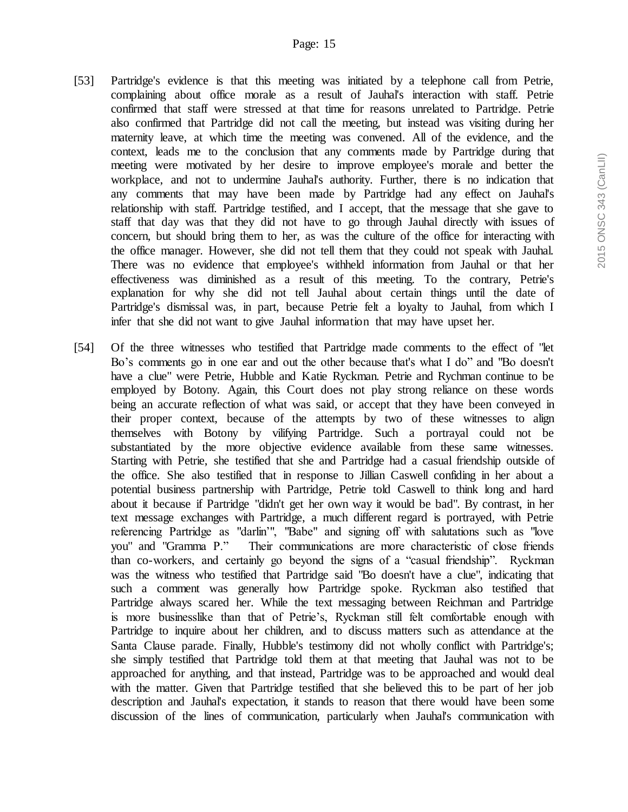- [53] Partridge's evidence is that this meeting was initiated by a telephone call from Petrie, complaining about office morale as a result of Jauhal's interaction with staff. Petrie confirmed that staff were stressed at that time for reasons unrelated to Partridge. Petrie also confirmed that Partridge did not call the meeting, but instead was visiting during her maternity leave, at which time the meeting was convened. All of the evidence, and the context, leads me to the conclusion that any comments made by Partridge during that meeting were motivated by her desire to improve employee's morale and better the workplace, and not to undermine Jauhal's authority. Further, there is no indication that any comments that may have been made by Partridge had any effect on Jauhal's relationship with staff. Partridge testified, and I accept, that the message that she gave to staff that day was that they did not have to go through Jauhal directly with issues of concern, but should bring them to her, as was the culture of the office for interacting with the office manager. However, she did not tell them that they could not speak with Jauhal. There was no evidence that employee's withheld information from Jauhal or that her effectiveness was diminished as a result of this meeting. To the contrary, Petrie's explanation for why she did not tell Jauhal about certain things until the date of Partridge's dismissal was, in part, because Petrie felt a loyalty to Jauhal, from which I infer that she did not want to give Jauhal information that may have upset her.
- [54] Of the three witnesses who testified that Partridge made comments to the effect of "let Bo's comments go in one ear and out the other because that's what I do" and "Bo doesn't have a clue" were Petrie, Hubble and Katie Ryckman. Petrie and Rychman continue to be employed by Botony. Again, this Court does not play strong reliance on these words being an accurate reflection of what was said, or accept that they have been conveyed in their proper context, because of the attempts by two of these witnesses to align themselves with Botony by vilifying Partridge. Such a portrayal could not be substantiated by the more objective evidence available from these same witnesses. Starting with Petrie, she testified that she and Partridge had a casual friendship outside of the office. She also testified that in response to Jillian Caswell confiding in her about a potential business partnership with Partridge, Petrie told Caswell to think long and hard about it because if Partridge "didn't get her own way it would be bad". By contrast, in her text message exchanges with Partridge, a much different regard is portrayed, with Petrie referencing Partridge as "darlin'", "Babe" and signing off with salutations such as "love you" and "Gramma P." Their communications are more characteristic of close friends than co-workers, and certainly go beyond the signs of a "casual friendship". Ryckman was the witness who testified that Partridge said "Bo doesn't have a clue", indicating that such a comment was generally how Partridge spoke. Ryckman also testified that Partridge always scared her. While the text messaging between Reichman and Partridge is more businesslike than that of Petrie's, Ryckman still felt comfortable enough with Partridge to inquire about her children, and to discuss matters such as attendance at the Santa Clause parade. Finally, Hubble's testimony did not wholly conflict with Partridge's; she simply testified that Partridge told them at that meeting that Jauhal was not to be approached for anything, and that instead, Partridge was to be approached and would deal with the matter. Given that Partridge testified that she believed this to be part of her job description and Jauhal's expectation, it stands to reason that there would have been some discussion of the lines of communication, particularly when Jauhal's communication with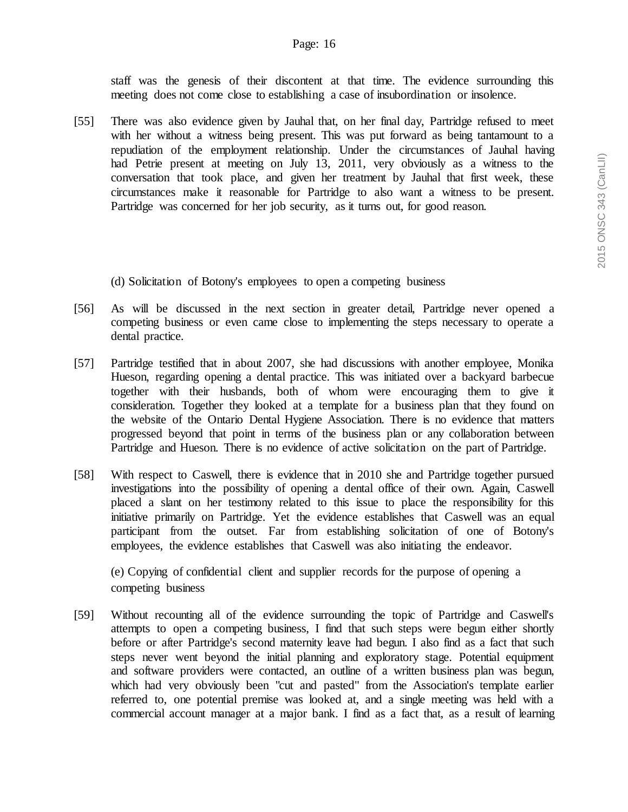staff was the genesis of their discontent at that time. The evidence surrounding this meeting does not come close to establishing a case of insubordination or insolence.

[55] There was also evidence given by Jauhal that, on her final day, Partridge refused to meet with her without a witness being present. This was put forward as being tantamount to a repudiation of the employment relationship. Under the circumstances of Jauhal having had Petrie present at meeting on July 13, 2011, very obviously as a witness to the conversation that took place, and given her treatment by Jauhal that first week, these circumstances make it reasonable for Partridge to also want a witness to be present. Partridge was concerned for her job security, as it turns out, for good reason.

(d) Solicitation of Botony's employees to open a competing business

- [56] As will be discussed in the next section in greater detail, Partridge never opened a competing business or even came close to implementing the steps necessary to operate a dental practice.
- [57] Partridge testified that in about 2007, she had discussions with another employee, Monika Hueson, regarding opening a dental practice. This was initiated over a backyard barbecue together with their husbands, both of whom were encouraging them to give it consideration. Together they looked at a template for a business plan that they found on the website of the Ontario Dental Hygiene Association. There is no evidence that matters progressed beyond that point in terms of the business plan or any collaboration between Partridge and Hueson. There is no evidence of active solicitation on the part of Partridge.
- [58] With respect to Caswell, there is evidence that in 2010 she and Partridge together pursued investigations into the possibility of opening a dental office of their own. Again, Caswell placed a slant on her testimony related to this issue to place the responsibility for this initiative primarily on Partridge. Yet the evidence establishes that Caswell was an equal participant from the outset. Far from establishing solicitation of one of Botony's employees, the evidence establishes that Caswell was also initiating the endeavor.

(e) Copying of confidential client and supplier records for the purpose of opening a competing business

[59] Without recounting all of the evidence surrounding the topic of Partridge and Caswell's attempts to open a competing business, I find that such steps were begun either shortly before or after Partridge's second maternity leave had begun. I also find as a fact that such steps never went beyond the initial planning and exploratory stage. Potential equipment and software providers were contacted, an outline of a written business plan was begun, which had very obviously been "cut and pasted" from the Association's template earlier referred to, one potential premise was looked at, and a single meeting was held with a commercial account manager at a major bank. I find as a fact that, as a result of learning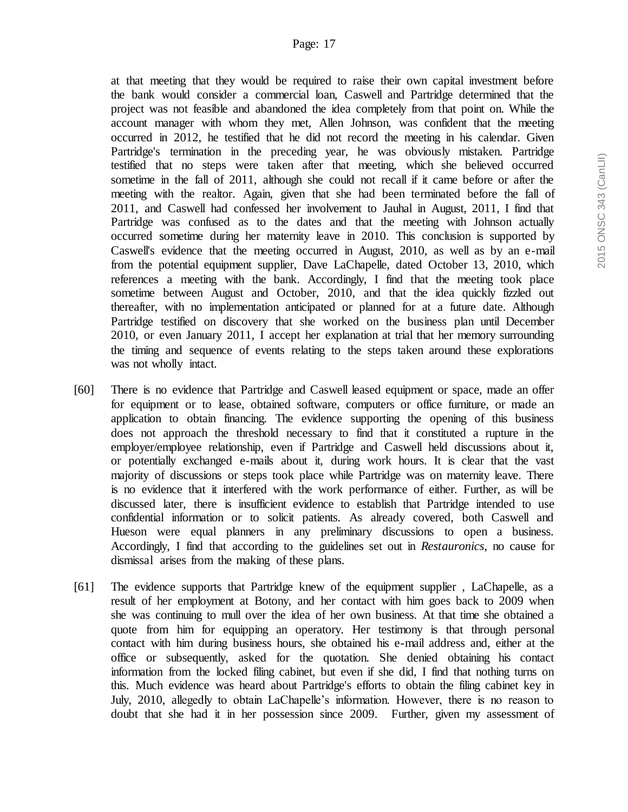at that meeting that they would be required to raise their own capital investment before the bank would consider a commercial loan, Caswell and Partridge determined that the project was not feasible and abandoned the idea completely from that point on. While the account manager with whom they met, Allen Johnson, was confident that the meeting occurred in 2012, he testified that he did not record the meeting in his calendar. Given Partridge's termination in the preceding year, he was obviously mistaken. Partridge testified that no steps were taken after that meeting, which she believed occurred sometime in the fall of 2011, although she could not recall if it came before or after the meeting with the realtor. Again, given that she had been terminated before the fall of 2011, and Caswell had confessed her involvement to Jauhal in August, 2011, I find that Partridge was confused as to the dates and that the meeting with Johnson actually occurred sometime during her maternity leave in 2010. This conclusion is supported by Caswell's evidence that the meeting occurred in August, 2010, as well as by an e-mail from the potential equipment supplier, Dave LaChapelle, dated October 13, 2010, which references a meeting with the bank. Accordingly, I find that the meeting took place sometime between August and October, 2010, and that the idea quickly fizzled out thereafter, with no implementation anticipated or planned for at a future date. Although Partridge testified on discovery that she worked on the business plan until December 2010, or even January 2011, I accept her explanation at trial that her memory surrounding the timing and sequence of events relating to the steps taken around these explorations was not wholly intact.

- [60] There is no evidence that Partridge and Caswell leased equipment or space, made an offer for equipment or to lease, obtained software, computers or office furniture, or made an application to obtain financing. The evidence supporting the opening of this business does not approach the threshold necessary to find that it constituted a rupture in the employer/employee relationship, even if Partridge and Caswell held discussions about it, or potentially exchanged e-mails about it, during work hours. It is clear that the vast majority of discussions or steps took place while Partridge was on maternity leave. There is no evidence that it interfered with the work performance of either. Further, as will be discussed later, there is insufficient evidence to establish that Partridge intended to use confidential information or to solicit patients. As already covered, both Caswell and Hueson were equal planners in any preliminary discussions to open a business. Accordingly, I find that according to the guidelines set out in *Restauronics*, no cause for dismissal arises from the making of these plans.
- [61] The evidence supports that Partridge knew of the equipment supplier , LaChapelle, as a result of her employment at Botony, and her contact with him goes back to 2009 when she was continuing to mull over the idea of her own business. At that time she obtained a quote from him for equipping an operatory. Her testimony is that through personal contact with him during business hours, she obtained his e-mail address and, either at the office or subsequently, asked for the quotation. She denied obtaining his contact information from the locked filing cabinet, but even if she did, I find that nothing turns on this. Much evidence was heard about Partridge's efforts to obtain the filing cabinet key in July, 2010, allegedly to obtain LaChapelle's information. However, there is no reason to doubt that she had it in her possession since 2009. Further, given my assessment of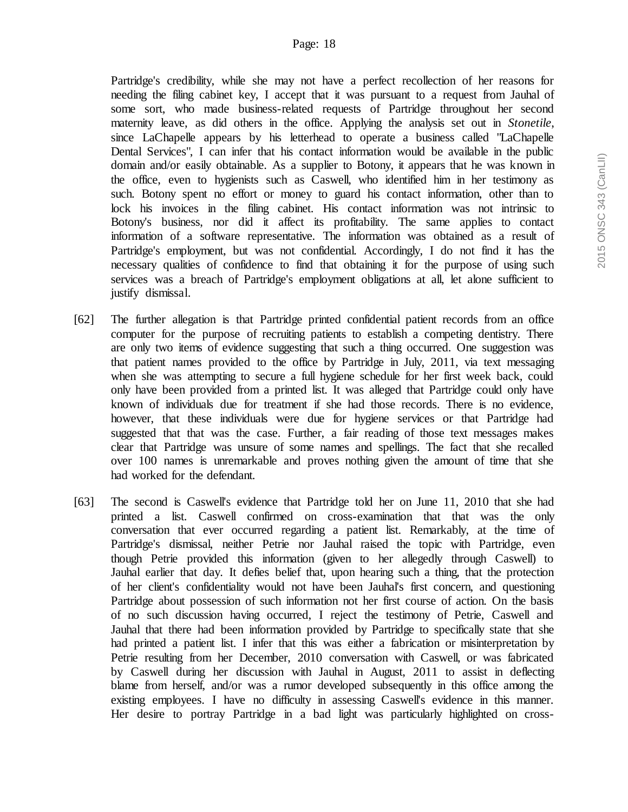Partridge's credibility, while she may not have a perfect recollection of her reasons for needing the filing cabinet key, I accept that it was pursuant to a request from Jauhal of some sort, who made business-related requests of Partridge throughout her second maternity leave, as did others in the office. Applying the analysis set out in *Stonetile*, since LaChapelle appears by his letterhead to operate a business called "LaChapelle Dental Services", I can infer that his contact information would be available in the public domain and/or easily obtainable. As a supplier to Botony, it appears that he was known in the office, even to hygienists such as Caswell, who identified him in her testimony as such. Botony spent no effort or money to guard his contact information, other than to lock his invoices in the filing cabinet. His contact information was not intrinsic to Botony's business, nor did it affect its profitability. The same applies to contact information of a software representative. The information was obtained as a result of Partridge's employment, but was not confidential. Accordingly, I do not find it has the necessary qualities of confidence to find that obtaining it for the purpose of using such services was a breach of Partridge's employment obligations at all, let alone sufficient to justify dismissal.

- [62] The further allegation is that Partridge printed confidential patient records from an office computer for the purpose of recruiting patients to establish a competing dentistry. There are only two items of evidence suggesting that such a thing occurred. One suggestion was that patient names provided to the office by Partridge in July, 2011, via text messaging when she was attempting to secure a full hygiene schedule for her first week back, could only have been provided from a printed list. It was alleged that Partridge could only have known of individuals due for treatment if she had those records. There is no evidence, however, that these individuals were due for hygiene services or that Partridge had suggested that that was the case. Further, a fair reading of those text messages makes clear that Partridge was unsure of some names and spellings. The fact that she recalled over 100 names is unremarkable and proves nothing given the amount of time that she had worked for the defendant.
- [63] The second is Caswell's evidence that Partridge told her on June 11, 2010 that she had printed a list. Caswell confirmed on cross-examination that that was the only conversation that ever occurred regarding a patient list. Remarkably, at the time of Partridge's dismissal, neither Petrie nor Jauhal raised the topic with Partridge, even though Petrie provided this information (given to her allegedly through Caswell) to Jauhal earlier that day. It defies belief that, upon hearing such a thing, that the protection of her client's confidentiality would not have been Jauhal's first concern, and questioning Partridge about possession of such information not her first course of action. On the basis of no such discussion having occurred, I reject the testimony of Petrie, Caswell and Jauhal that there had been information provided by Partridge to specifically state that she had printed a patient list. I infer that this was either a fabrication or misinterpretation by Petrie resulting from her December, 2010 conversation with Caswell, or was fabricated by Caswell during her discussion with Jauhal in August, 2011 to assist in deflecting blame from herself, and/or was a rumor developed subsequently in this office among the existing employees. I have no difficulty in assessing Caswell's evidence in this manner. Her desire to portray Partridge in a bad light was particularly highlighted on cross-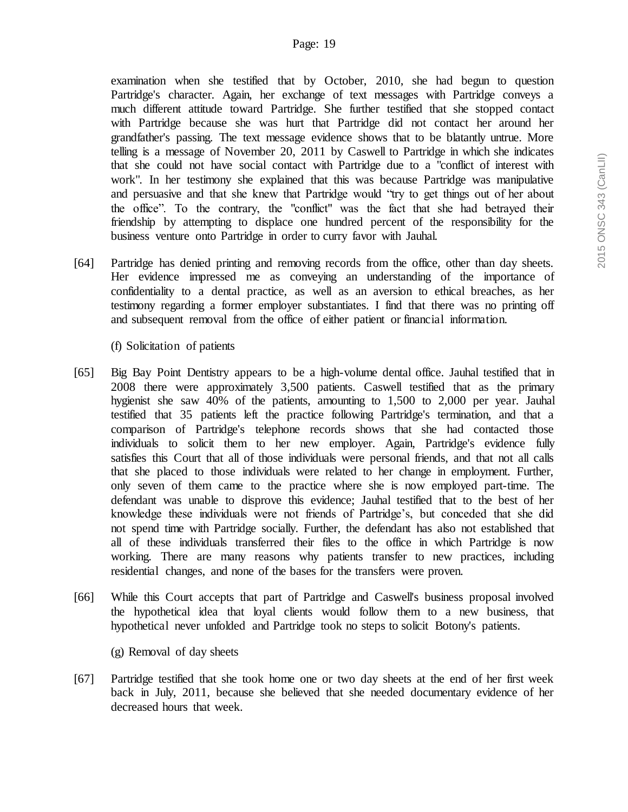examination when she testified that by October, 2010, she had begun to question Partridge's character. Again, her exchange of text messages with Partridge conveys a much different attitude toward Partridge. She further testified that she stopped contact with Partridge because she was hurt that Partridge did not contact her around her grandfather's passing. The text message evidence shows that to be blatantly untrue. More telling is a message of November 20, 2011 by Caswell to Partridge in which she indicates that she could not have social contact with Partridge due to a "conflict of interest with work". In her testimony she explained that this was because Partridge was manipulative and persuasive and that she knew that Partridge would "try to get things out of her about the office". To the contrary, the "conflict" was the fact that she had betrayed their friendship by attempting to displace one hundred percent of the responsibility for the business venture onto Partridge in order to curry favor with Jauhal.

[64] Partridge has denied printing and removing records from the office, other than day sheets. Her evidence impressed me as conveying an understanding of the importance of confidentiality to a dental practice, as well as an aversion to ethical breaches, as her testimony regarding a former employer substantiates. I find that there was no printing off and subsequent removal from the office of either patient or financial information.

(f) Solicitation of patients

- [65] Big Bay Point Dentistry appears to be a high-volume dental office. Jauhal testified that in 2008 there were approximately 3,500 patients. Caswell testified that as the primary hygienist she saw 40% of the patients, amounting to 1,500 to 2,000 per year. Jauhal testified that 35 patients left the practice following Partridge's termination, and that a comparison of Partridge's telephone records shows that she had contacted those individuals to solicit them to her new employer. Again, Partridge's evidence fully satisfies this Court that all of those individuals were personal friends, and that not all calls that she placed to those individuals were related to her change in employment. Further, only seven of them came to the practice where she is now employed part-time. The defendant was unable to disprove this evidence; Jauhal testified that to the best of her knowledge these individuals were not friends of Partridge's, but conceded that she did not spend time with Partridge socially. Further, the defendant has also not established that all of these individuals transferred their files to the office in which Partridge is now working. There are many reasons why patients transfer to new practices, including residential changes, and none of the bases for the transfers were proven.
- [66] While this Court accepts that part of Partridge and Caswell's business proposal involved the hypothetical idea that loyal clients would follow them to a new business, that hypothetical never unfolded and Partridge took no steps to solicit Botony's patients.

(g) Removal of day sheets

[67] Partridge testified that she took home one or two day sheets at the end of her first week back in July, 2011, because she believed that she needed documentary evidence of her decreased hours that week.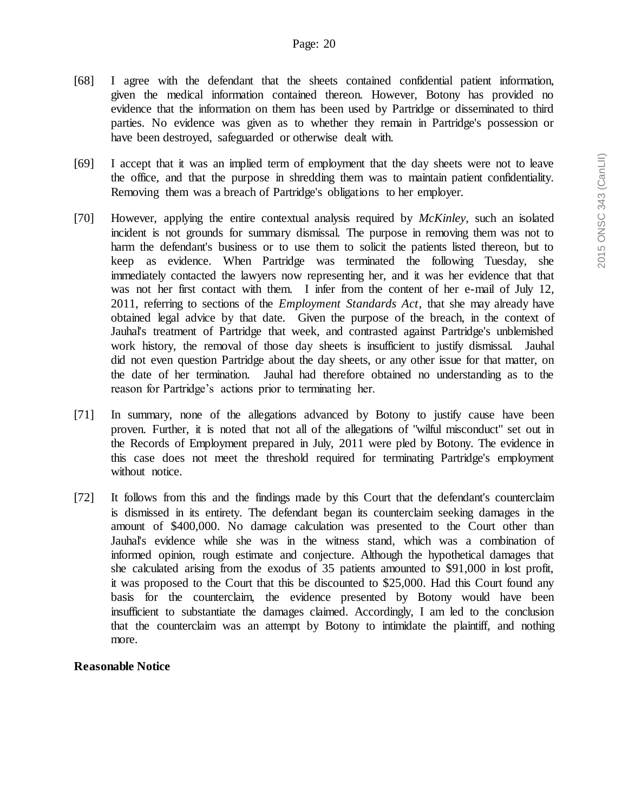- [68] I agree with the defendant that the sheets contained confidential patient information, given the medical information contained thereon. However, Botony has provided no evidence that the information on them has been used by Partridge or disseminated to third parties. No evidence was given as to whether they remain in Partridge's possession or have been destroyed, safeguarded or otherwise dealt with.
- [69] I accept that it was an implied term of employment that the day sheets were not to leave the office, and that the purpose in shredding them was to maintain patient confidentiality. Removing them was a breach of Partridge's obligations to her employer.
- [70] However, applying the entire contextual analysis required by *McKinley*, such an isolated incident is not grounds for summary dismissal. The purpose in removing them was not to harm the defendant's business or to use them to solicit the patients listed thereon, but to keep as evidence. When Partridge was terminated the following Tuesday, she immediately contacted the lawyers now representing her, and it was her evidence that that was not her first contact with them. I infer from the content of her e-mail of July 12, 2011, referring to sections of the *Employment Standards Act*, that she may already have obtained legal advice by that date. Given the purpose of the breach, in the context of Jauhal's treatment of Partridge that week, and contrasted against Partridge's unblemished work history, the removal of those day sheets is insufficient to justify dismissal. Jauhal did not even question Partridge about the day sheets, or any other issue for that matter, on the date of her termination. Jauhal had therefore obtained no understanding as to the reason for Partridge's actions prior to terminating her.
- [71] In summary, none of the allegations advanced by Botony to justify cause have been proven. Further, it is noted that not all of the allegations of "wilful misconduct" set out in the Records of Employment prepared in July, 2011 were pled by Botony. The evidence in this case does not meet the threshold required for terminating Partridge's employment without notice.
- [72] It follows from this and the findings made by this Court that the defendant's counterclaim is dismissed in its entirety. The defendant began its counterclaim seeking damages in the amount of \$400,000. No damage calculation was presented to the Court other than Jauhal's evidence while she was in the witness stand, which was a combination of informed opinion, rough estimate and conjecture. Although the hypothetical damages that she calculated arising from the exodus of 35 patients amounted to \$91,000 in lost profit, it was proposed to the Court that this be discounted to \$25,000. Had this Court found any basis for the counterclaim, the evidence presented by Botony would have been insufficient to substantiate the damages claimed. Accordingly, I am led to the conclusion that the counterclaim was an attempt by Botony to intimidate the plaintiff, and nothing more.

#### **Reasonable Notice**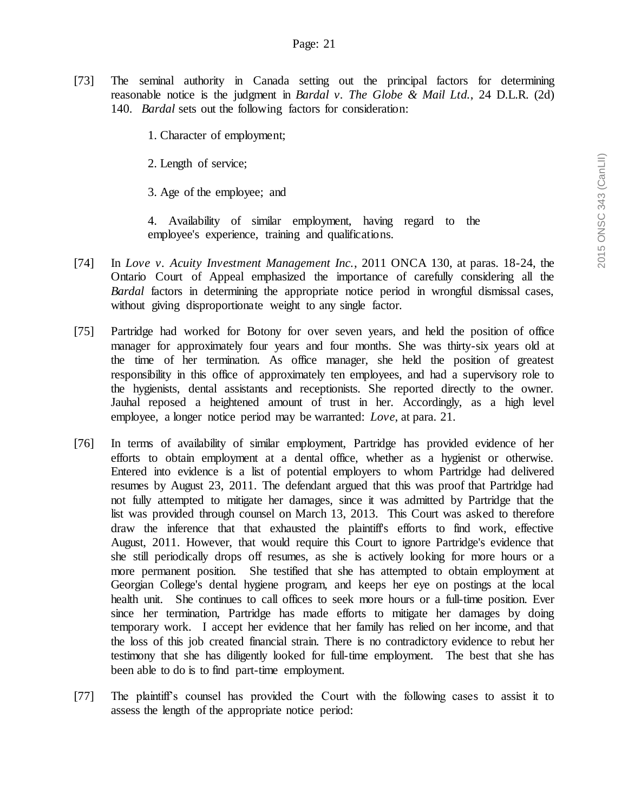[73] The seminal authority in Canada setting out the principal factors for determining reasonable notice is the judgment in *Bardal v. The Globe & Mail Ltd.*, 24 D.L.R. (2d) 140. *Bardal* sets out the following factors for consideration:

1. Character of employment;

2. Length of service;

3. Age of the employee; and

4. Availability of similar employment, having regard to the employee's experience, training and qualifications.

- [74] In *Love v. Acuity Investment Management Inc.*, 2011 ONCA 130, at paras. 18-24, the Ontario Court of Appeal emphasized the importance of carefully considering all the *Bardal* factors in determining the appropriate notice period in wrongful dismissal cases, without giving disproportionate weight to any single factor.
- [75] Partridge had worked for Botony for over seven years, and held the position of office manager for approximately four years and four months. She was thirty-six years old at the time of her termination. As office manager, she held the position of greatest responsibility in this office of approximately ten employees, and had a supervisory role to the hygienists, dental assistants and receptionists. She reported directly to the owner. Jauhal reposed a heightened amount of trust in her. Accordingly, as a high level employee, a longer notice period may be warranted: *Love*, at para. 21.
- [76] In terms of availability of similar employment, Partridge has provided evidence of her efforts to obtain employment at a dental office, whether as a hygienist or otherwise. Entered into evidence is a list of potential employers to whom Partridge had delivered resumes by August 23, 2011. The defendant argued that this was proof that Partridge had not fully attempted to mitigate her damages, since it was admitted by Partridge that the list was provided through counsel on March 13, 2013. This Court was asked to therefore draw the inference that that exhausted the plaintiff's efforts to find work, effective August, 2011. However, that would require this Court to ignore Partridge's evidence that she still periodically drops off resumes, as she is actively looking for more hours or a more permanent position. She testified that she has attempted to obtain employment at Georgian College's dental hygiene program, and keeps her eye on postings at the local health unit. She continues to call offices to seek more hours or a full-time position. Ever since her termination, Partridge has made efforts to mitigate her damages by doing temporary work. I accept her evidence that her family has relied on her income, and that the loss of this job created financial strain. There is no contradictory evidence to rebut her testimony that she has diligently looked for full-time employment. The best that she has been able to do is to find part-time employment.
- [77] The plaintiff's counsel has provided the Court with the following cases to assist it to assess the length of the appropriate notice period: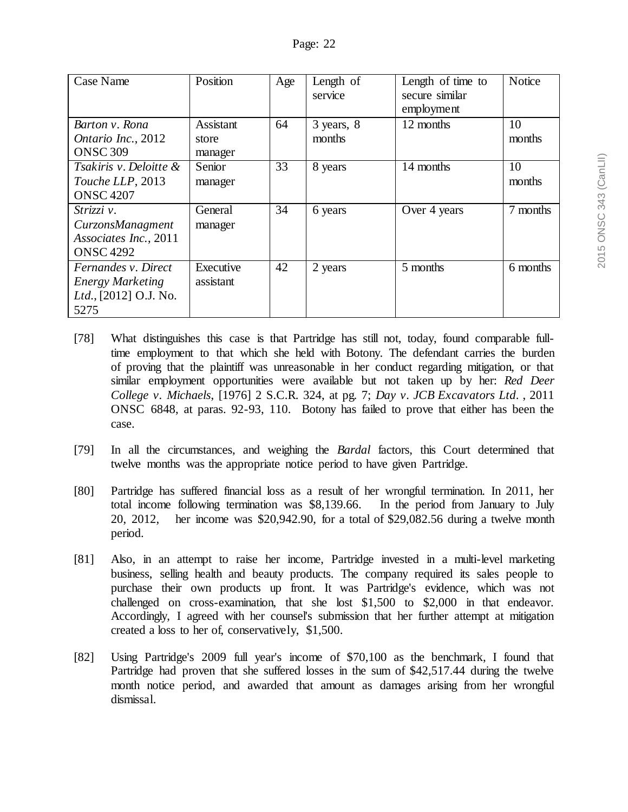| Case Name               | Position  | Age | Length of<br>service | Length of time to<br>secure similar | Notice   |
|-------------------------|-----------|-----|----------------------|-------------------------------------|----------|
|                         |           |     |                      | employment                          |          |
| Barton v. Rona          | Assistant | 64  | 3 years, 8           | 12 months                           | 10       |
| Ontario Inc., 2012      | store     |     | months               |                                     | months   |
| <b>ONSC 309</b>         | manager   |     |                      |                                     |          |
| Tsakiris v. Deloitte &  | Senior    | 33  | 8 years              | 14 months                           | 10       |
| Touche LLP, 2013        | manager   |     |                      |                                     | months   |
| <b>ONSC 4207</b>        |           |     |                      |                                     |          |
| Strizzi v.              | General   | 34  | 6 years              | Over 4 years                        | 7 months |
| CurzonsManagment        | manager   |     |                      |                                     |          |
| Associates Inc., 2011   |           |     |                      |                                     |          |
| <b>ONSC 4292</b>        |           |     |                      |                                     |          |
| Fernandes v. Direct     | Executive | 42  | 2 years              | 5 months                            | 6 months |
| <b>Energy Marketing</b> | assistant |     |                      |                                     |          |
| Ltd., [2012] O.J. No.   |           |     |                      |                                     |          |
| 5275                    |           |     |                      |                                     |          |

- [78] What distinguishes this case is that Partridge has still not, today, found comparable fulltime employment to that which she held with Botony. The defendant carries the burden of proving that the plaintiff was unreasonable in her conduct regarding mitigation, or that similar employment opportunities were available but not taken up by her: *Red Deer College v. Michaels*, [1976] 2 S.C.R. 324, at pg. 7; *Day v. JCB Excavators Ltd*. , 2011 ONSC 6848, at paras. 92-93, 110. Botony has failed to prove that either has been the case.
- [79] In all the circumstances, and weighing the *Bardal* factors, this Court determined that twelve months was the appropriate notice period to have given Partridge.
- [80] Partridge has suffered financial loss as a result of her wrongful termination. In 2011, her total income following termination was \$8,139.66. In the period from January to July 20, 2012, her income was \$20,942.90, for a total of \$29,082.56 during a twelve month period.
- [81] Also, in an attempt to raise her income, Partridge invested in a multi-level marketing business, selling health and beauty products. The company required its sales people to purchase their own products up front. It was Partridge's evidence, which was not challenged on cross-examination, that she lost \$1,500 to \$2,000 in that endeavor. Accordingly, I agreed with her counsel's submission that her further attempt at mitigation created a loss to her of, conservatively, \$1,500.
- [82] Using Partridge's 2009 full year's income of \$70,100 as the benchmark, I found that Partridge had proven that she suffered losses in the sum of \$42,517.44 during the twelve month notice period, and awarded that amount as damages arising from her wrongful dismissal.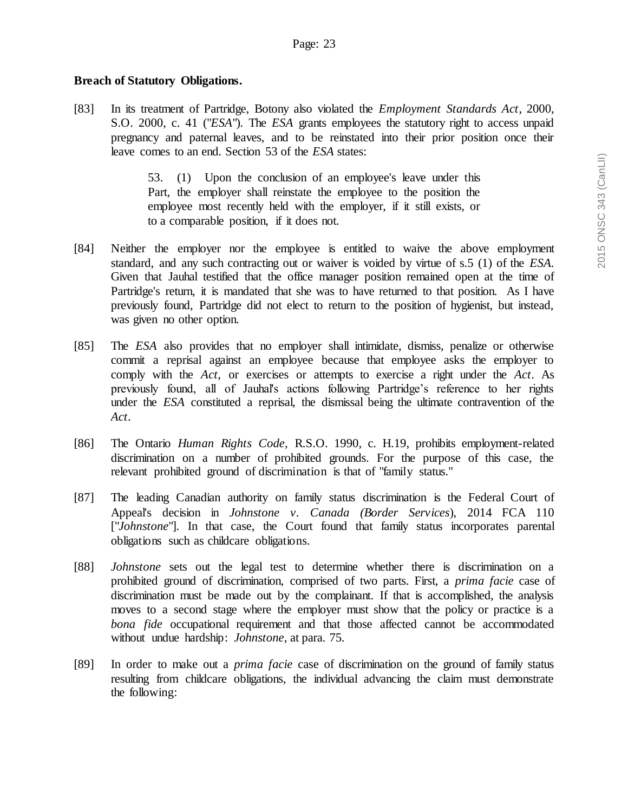# **Breach of Statutory Obligations.**

[83] In its treatment of Partridge, Botony also violated the *Employment Standards Act*, 2000, S.O. 2000, c. 41 ("*ESA*"). The *ESA* grants employees the statutory right to access unpaid pregnancy and paternal leaves, and to be reinstated into their prior position once their leave comes to an end. Section 53 of the *ESA* states:

> 53. (1) Upon the conclusion of an employee's leave under this Part, the employer shall reinstate the employee to the position the employee most recently held with the employer, if it still exists, or to a comparable position, if it does not.

- [84] Neither the employer nor the employee is entitled to waive the above employment standard, and any such contracting out or waiver is voided by virtue of s.5 (1) of the *ESA.* Given that Jauhal testified that the office manager position remained open at the time of Partridge's return, it is mandated that she was to have returned to that position. As I have previously found, Partridge did not elect to return to the position of hygienist, but instead, was given no other option.
- [85] The *ESA* also provides that no employer shall intimidate, dismiss, penalize or otherwise commit a reprisal against an employee because that employee asks the employer to comply with the *Act*, or exercises or attempts to exercise a right under the *Act*. As previously found, all of Jauhal's actions following Partridge's reference to her rights under the *ESA* constituted a reprisal, the dismissal being the ultimate contravention of the *Act*.
- [86] The Ontario *Human Rights Code*, R.S.O. 1990, c. H.19, prohibits employment-related discrimination on a number of prohibited grounds. For the purpose of this case, the relevant prohibited ground of discrimination is that of "family status."
- [87] The leading Canadian authority on family status discrimination is the Federal Court of Appeal's decision in *Johnstone v. Canada (Border Services*), 2014 FCA 110 ["*Johnstone*"]. In that case, the Court found that family status incorporates parental obligations such as childcare obligations.
- [88] *Johnstone* sets out the legal test to determine whether there is discrimination on a prohibited ground of discrimination, comprised of two parts. First, a *prima facie* case of discrimination must be made out by the complainant. If that is accomplished, the analysis moves to a second stage where the employer must show that the policy or practice is a *bona fide* occupational requirement and that those affected cannot be accommodated without undue hardship: *Johnstone*, at para. 75*.*
- [89] In order to make out a *prima facie* case of discrimination on the ground of family status resulting from childcare obligations, the individual advancing the claim must demonstrate the following: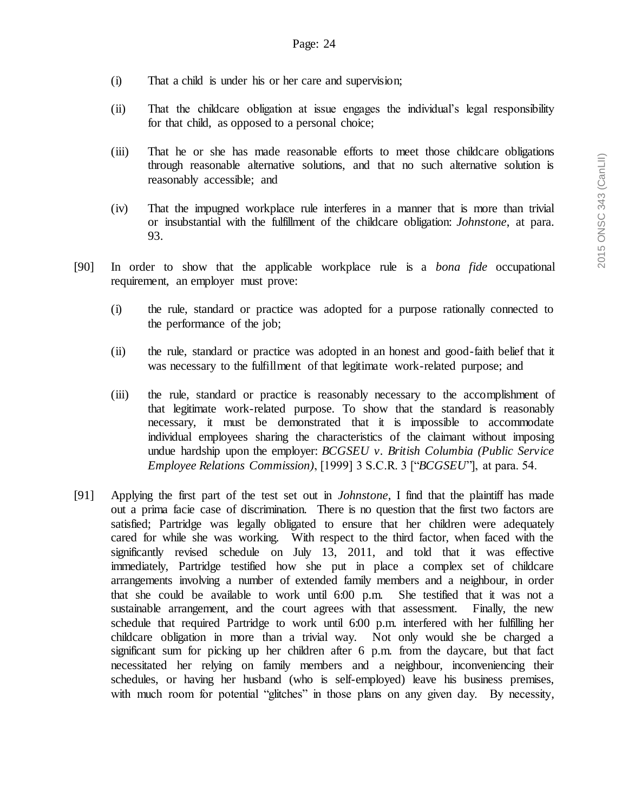- (i) That a child is under his or her care and supervision;
- (ii) That the childcare obligation at issue engages the individual's legal responsibility for that child, as opposed to a personal choice;
- (iii) That he or she has made reasonable efforts to meet those childcare obligations through reasonable alternative solutions, and that no such alternative solution is reasonably accessible; and
- (iv) That the impugned workplace rule interferes in a manner that is more than trivial or insubstantial with the fulfillment of the childcare obligation: *Johnstone*, at para. 93.
- [90] In order to show that the applicable workplace rule is a *bona fide* occupational requirement, an employer must prove:
	- (i) the rule, standard or practice was adopted for a purpose rationally connected to the performance of the job;
	- (ii) the rule, standard or practice was adopted in an honest and good-faith belief that it was necessary to the fulfillment of that legitimate work-related purpose; and
	- (iii) the rule, standard or practice is reasonably necessary to the accomplishment of that legitimate work-related purpose. To show that the standard is reasonably necessary, it must be demonstrated that it is impossible to accommodate individual employees sharing the characteristics of the claimant without imposing undue hardship upon the employer: *BCGSEU v. British Columbia (Public Service Employee Relations Commission)*, [1999] 3 S.C.R. 3 ["*BCGSEU*"], at para. 54.
- [91] Applying the first part of the test set out in *Johnstone*, I find that the plaintiff has made out a prima facie case of discrimination. There is no question that the first two factors are satisfied; Partridge was legally obligated to ensure that her children were adequately cared for while she was working. With respect to the third factor, when faced with the significantly revised schedule on July 13, 2011, and told that it was effective immediately, Partridge testified how she put in place a complex set of childcare arrangements involving a number of extended family members and a neighbour, in order that she could be available to work until 6:00 p.m. She testified that it was not a sustainable arrangement, and the court agrees with that assessment. Finally, the new schedule that required Partridge to work until 6:00 p.m. interfered with her fulfilling her childcare obligation in more than a trivial way. Not only would she be charged a significant sum for picking up her children after 6 p.m. from the daycare, but that fact necessitated her relying on family members and a neighbour, inconveniencing their schedules, or having her husband (who is self-employed) leave his business premises, with much room for potential "glitches" in those plans on any given day. By necessity,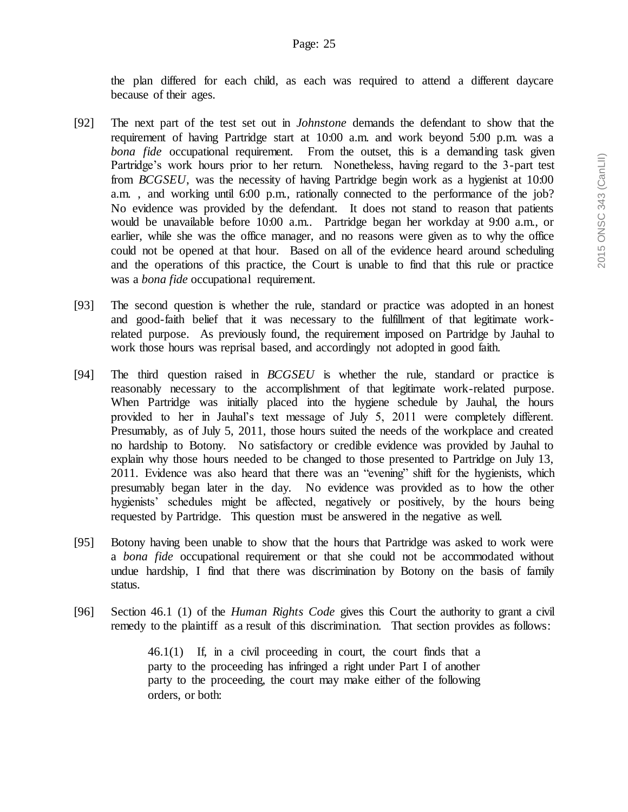the plan differed for each child, as each was required to attend a different daycare because of their ages.

- [92] The next part of the test set out in *Johnstone* demands the defendant to show that the requirement of having Partridge start at 10:00 a.m. and work beyond 5:00 p.m. was a *bona fide* occupational requirement. From the outset, this is a demanding task given Partridge's work hours prior to her return. Nonetheless, having regard to the 3-part test from *BCGSEU*, was the necessity of having Partridge begin work as a hygienist at 10:00 a.m. , and working until 6:00 p.m., rationally connected to the performance of the job? No evidence was provided by the defendant. It does not stand to reason that patients would be unavailable before 10:00 a.m.. Partridge began her workday at 9:00 a.m., or earlier, while she was the office manager, and no reasons were given as to why the office could not be opened at that hour. Based on all of the evidence heard around scheduling and the operations of this practice, the Court is unable to find that this rule or practice was a *bona fide* occupational requirement.
- [93] The second question is whether the rule, standard or practice was adopted in an honest and good-faith belief that it was necessary to the fulfillment of that legitimate workrelated purpose. As previously found, the requirement imposed on Partridge by Jauhal to work those hours was reprisal based, and accordingly not adopted in good faith.
- [94] The third question raised in *BCGSEU* is whether the rule, standard or practice is reasonably necessary to the accomplishment of that legitimate work-related purpose. When Partridge was initially placed into the hygiene schedule by Jauhal, the hours provided to her in Jauhal's text message of July 5, 2011 were completely different. Presumably, as of July 5, 2011, those hours suited the needs of the workplace and created no hardship to Botony. No satisfactory or credible evidence was provided by Jauhal to explain why those hours needed to be changed to those presented to Partridge on July 13, 2011. Evidence was also heard that there was an "evening" shift for the hygienists, which presumably began later in the day. No evidence was provided as to how the other hygienists' schedules might be affected, negatively or positively, by the hours being requested by Partridge. This question must be answered in the negative as well.
- [95] Botony having been unable to show that the hours that Partridge was asked to work were a *bona fide* occupational requirement or that she could not be accommodated without undue hardship, I find that there was discrimination by Botony on the basis of family status.
- [96] Section 46.1 (1) of the *Human Rights Code* gives this Court the authority to grant a civil remedy to the plaintiff as a result of this discrimination. That section provides as follows:

46.1(1) If, in a civil proceeding in court, the court finds that a party to the proceeding has infringed a right under Part I of another party to the proceeding, the court may make either of the following orders, or both: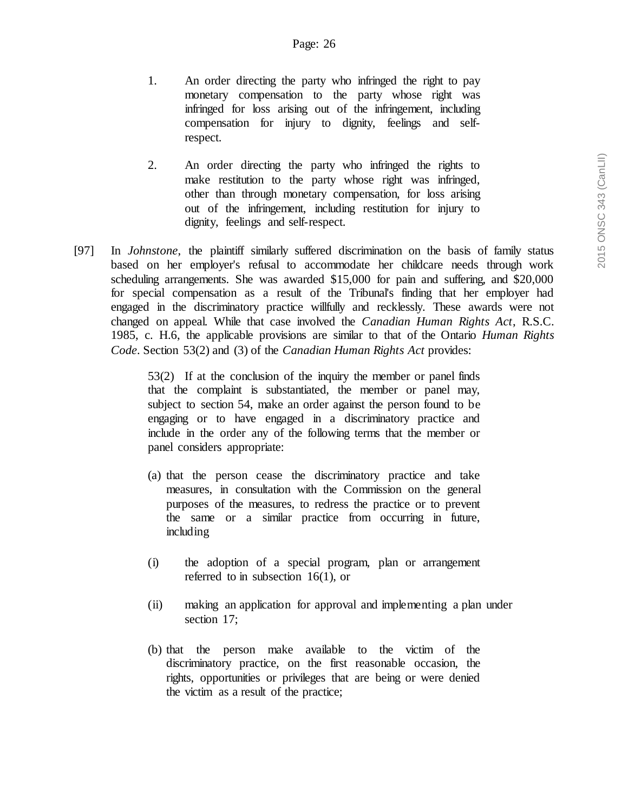- 1. An order directing the party who infringed the right to pay monetary compensation to the party whose right was infringed for loss arising out of the infringement, including compensation for injury to dignity, feelings and selfrespect.
- 2. An order directing the party who infringed the rights to make restitution to the party whose right was infringed, other than through monetary compensation, for loss arising out of the infringement, including restitution for injury to dignity, feelings and self-respect.
- [97] In *Johnstone*, the plaintiff similarly suffered discrimination on the basis of family status based on her employer's refusal to accommodate her childcare needs through work scheduling arrangements. She was awarded \$15,000 for pain and suffering, and \$20,000 for special compensation as a result of the Tribunal's finding that her employer had engaged in the discriminatory practice willfully and recklessly. These awards were not changed on appeal. While that case involved the *Canadian Human Rights Act*, R.S.C. 1985, c. H.6, the applicable provisions are similar to that of the Ontario *Human Rights Code*. Section 53(2) and (3) of the *Canadian Human Rights Act* provides:

53(2) If at the conclusion of the inquiry the member or panel finds that the complaint is substantiated, the member or panel may, subject to section 54, make an order against the person found to be engaging or to have engaged in a discriminatory practice and include in the order any of the following terms that the member or panel considers appropriate:

- (a) that the person cease the discriminatory practice and take measures, in consultation with the Commission on the general purposes of the measures, to redress the practice or to prevent the same or a similar practice from occurring in future, including
- (i) the adoption of a special program, plan or arrangement referred to in subsection 16(1), or
- (ii) making an application for approval and implementing a plan under section 17;
- (b) that the person make available to the victim of the discriminatory practice, on the first reasonable occasion, the rights, opportunities or privileges that are being or were denied the victim as a result of the practice;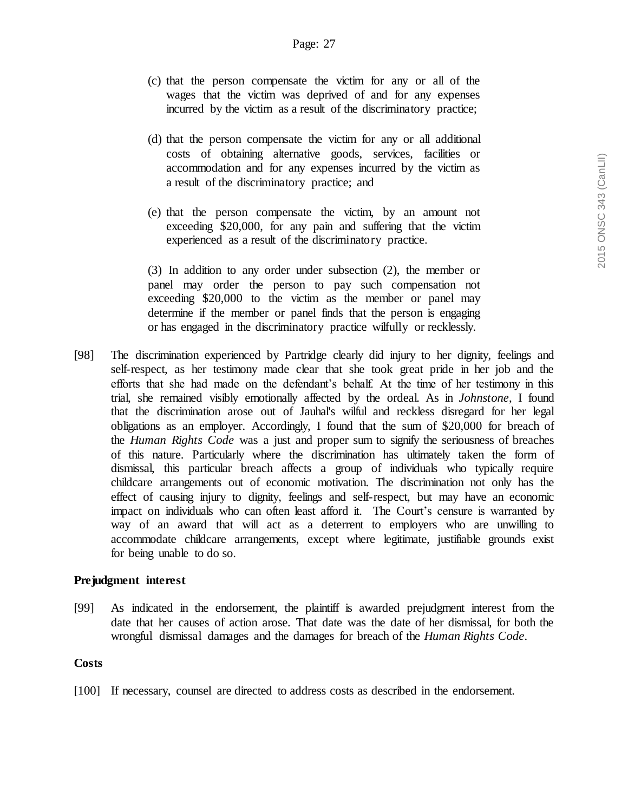- (c) that the person compensate the victim for any or all of the wages that the victim was deprived of and for any expenses incurred by the victim as a result of the discriminatory practice;
- (d) that the person compensate the victim for any or all additional costs of obtaining alternative goods, services, facilities or accommodation and for any expenses incurred by the victim as a result of the discriminatory practice; and
- (e) that the person compensate the victim, by an amount not exceeding \$20,000, for any pain and suffering that the victim experienced as a result of the discriminatory practice.

(3) In addition to any order under subsection (2), the member or panel may order the person to pay such compensation not exceeding \$20,000 to the victim as the member or panel may determine if the member or panel finds that the person is engaging or has engaged in the discriminatory practice wilfully or recklessly.

[98] The discrimination experienced by Partridge clearly did injury to her dignity, feelings and self-respect, as her testimony made clear that she took great pride in her job and the efforts that she had made on the defendant's behalf. At the time of her testimony in this trial, she remained visibly emotionally affected by the ordeal. As in *Johnstone*, I found that the discrimination arose out of Jauhal's wilful and reckless disregard for her legal obligations as an employer. Accordingly, I found that the sum of \$20,000 for breach of the *Human Rights Code* was a just and proper sum to signify the seriousness of breaches of this nature. Particularly where the discrimination has ultimately taken the form of dismissal, this particular breach affects a group of individuals who typically require childcare arrangements out of economic motivation. The discrimination not only has the effect of causing injury to dignity, feelings and self-respect, but may have an economic impact on individuals who can often least afford it. The Court's censure is warranted by way of an award that will act as a deterrent to employers who are unwilling to accommodate childcare arrangements, except where legitimate, justifiable grounds exist for being unable to do so.

### **Prejudgment interest**

[99] As indicated in the endorsement, the plaintiff is awarded prejudgment interest from the date that her causes of action arose. That date was the date of her dismissal, for both the wrongful dismissal damages and the damages for breach of the *Human Rights Code*.

### **Costs**

[100] If necessary, counsel are directed to address costs as described in the endorsement.